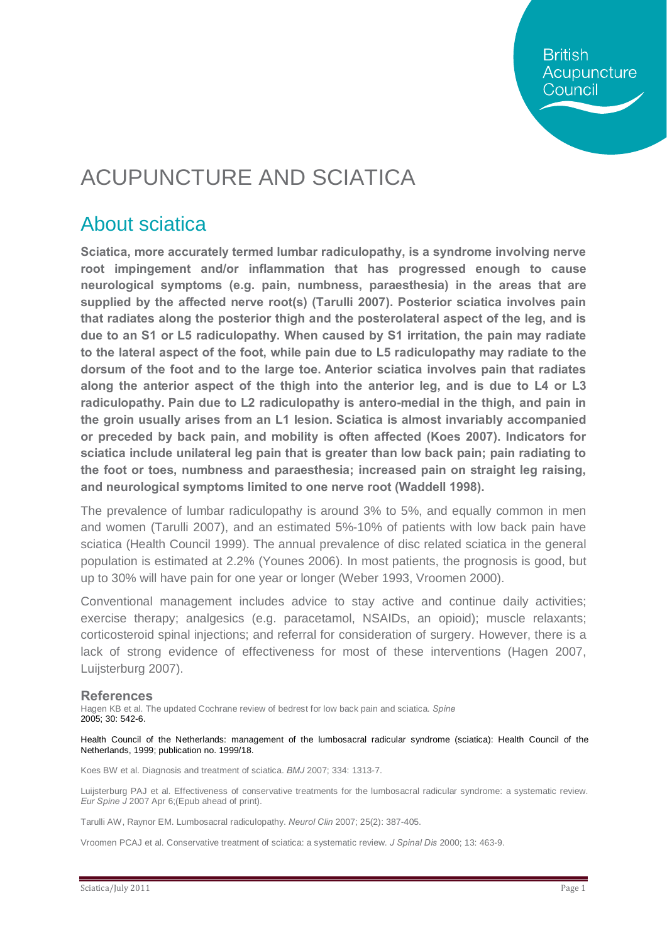**British** Acupuncture Council

# ACUPUNCTURE AND SCIATICA

#### About sciatica

**Sciatica, more accurately termed lumbar radiculopathy, is a syndrome involving nerve root impingement and/or inflammation that has progressed enough to cause neurological symptoms (e.g. pain, numbness, paraesthesia) in the areas that are supplied by the affected nerve root(s) (Tarulli 2007). Posterior sciatica involves pain that radiates along the posterior thigh and the posterolateral aspect of the leg, and is due to an S1 or L5 radiculopathy. When caused by S1 irritation, the pain may radiate to the lateral aspect of the foot, while pain due to L5 radiculopathy may radiate to the dorsum of the foot and to the large toe. Anterior sciatica involves pain that radiates along the anterior aspect of the thigh into the anterior leg, and is due to L4 or L3 radiculopathy. Pain due to L2 radiculopathy is antero-medial in the thigh, and pain in the groin usually arises from an L1 lesion. Sciatica is almost invariably accompanied or preceded by back pain, and mobility is often affected (Koes 2007). Indicators for sciatica include unilateral leg pain that is greater than low back pain; pain radiating to the foot or toes, numbness and paraesthesia; increased pain on straight leg raising, and neurological symptoms limited to one nerve root (Waddell 1998).**

The prevalence of lumbar radiculopathy is around 3% to 5%, and equally common in men and women (Tarulli 2007), and an estimated 5%-10% of patients with low back pain have sciatica (Health Council 1999). The annual prevalence of disc related sciatica in the general population is estimated at 2.2% (Younes 2006). In most patients, the prognosis is good, but up to 30% will have pain for one year or longer (Weber 1993, Vroomen 2000).

Conventional management includes advice to stay active and continue daily activities; exercise therapy; analgesics (e.g. paracetamol, NSAIDs, an opioid); muscle relaxants; corticosteroid spinal injections; and referral for consideration of surgery. However, there is a lack of strong evidence of effectiveness for most of these interventions (Hagen 2007, Luijsterburg 2007).

#### **References**

Hagen KB et al. The updated Cochrane review of bedrest for low back pain and sciatica. *Spine* 2005; 30: 542-6.

Health Council of the Netherlands: management of the lumbosacral radicular syndrome (sciatica): Health Council of the Netherlands, 1999; publication no. 1999/18.

Koes BW et al. Diagnosis and treatment of sciatica. *BMJ* 2007; 334: 1313-7.

Luijsterburg PAJ et al. Effectiveness of conservative treatments for the lumbosacral radicular syndrome: a systematic review. *Eur Spine J* 2007 Apr 6;(Epub ahead of print).

Tarulli AW, Raynor EM. Lumbosacral radiculopathy. *Neurol Clin* 2007; 25(2): 387-405.

Vroomen PCAJ et al. Conservative treatment of sciatica: a systematic review. *J Spinal Dis* 2000; 13: 463-9.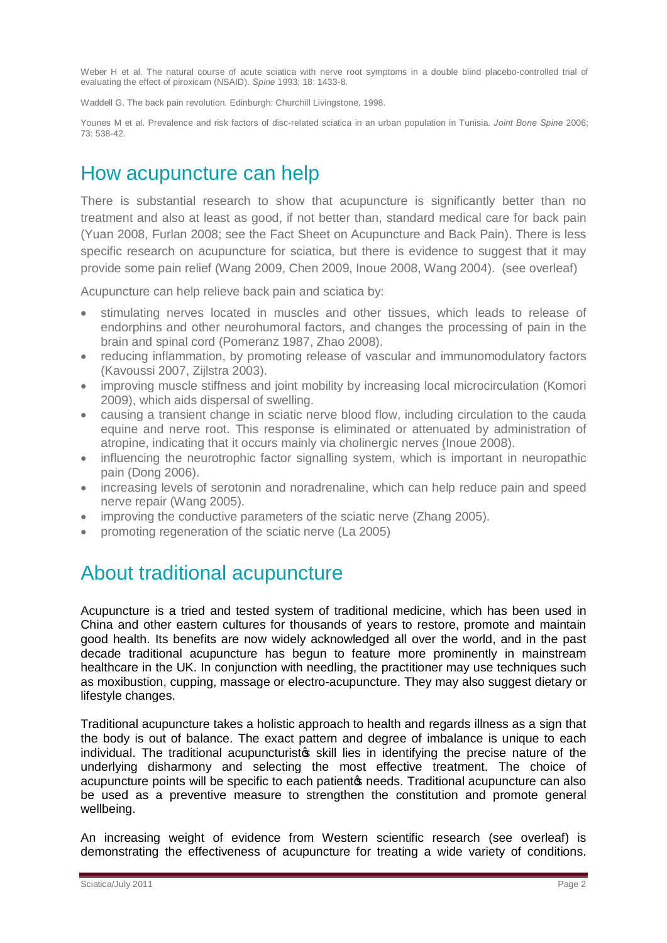Weber H et al. The natural course of acute sciatica with nerve root symptoms in a double blind placebo-controlled trial of evaluating the effect of piroxicam (NSAID). *Spine* 1993; 18: 1433-8.

Waddell G. The back pain revolution. Edinburgh: Churchill Livingstone, 1998.

Younes M et al. Prevalence and risk factors of disc-related sciatica in an urban population in Tunisia. *Joint Bone Spine* 2006; 73: 538-42.

### How acupuncture can help

There is substantial research to show that acupuncture is significantly better than no treatment and also at least as good, if not better than, standard medical care for back pain (Yuan 2008, Furlan 2008; see the Fact Sheet on Acupuncture and Back Pain). There is less specific research on acupuncture for sciatica, but there is evidence to suggest that it may provide some pain relief (Wang 2009, Chen 2009, Inoue 2008, Wang 2004). (see overleaf)

Acupuncture can help relieve back pain and sciatica by:

- · stimulating nerves located in muscles and other tissues, which leads to release of endorphins and other neurohumoral factors, and changes the processing of pain in the brain and spinal cord (Pomeranz 1987, Zhao 2008).
- reducing inflammation, by promoting release of vascular and immunomodulatory factors (Kavoussi 2007, Zijlstra 2003).
- improving muscle stiffness and joint mobility by increasing local microcirculation (Komori 2009), which aids dispersal of swelling.
- · causing a transient change in sciatic nerve blood flow, including circulation to the cauda equine and nerve root. This response is eliminated or attenuated by administration of atropine, indicating that it occurs mainly via cholinergic nerves (Inoue 2008).
- influencing the neurotrophic factor signalling system, which is important in neuropathic pain (Dong 2006).
- increasing levels of serotonin and noradrenaline, which can help reduce pain and speed nerve repair (Wang 2005).
- · improving the conductive parameters of the sciatic nerve (Zhang 2005).
- · promoting regeneration of the sciatic nerve (La 2005)

### About traditional acupuncture

Acupuncture is a tried and tested system of traditional medicine, which has been used in China and other eastern cultures for thousands of years to restore, promote and maintain good health. Its benefits are now widely acknowledged all over the world, and in the past decade traditional acupuncture has begun to feature more prominently in mainstream healthcare in the UK. In conjunction with needling, the practitioner may use techniques such as moxibustion, cupping, massage or electro-acupuncture. They may also suggest dietary or lifestyle changes.

Traditional acupuncture takes a holistic approach to health and regards illness as a sign that the body is out of balance. The exact pattern and degree of imbalance is unique to each individual. The traditional acupuncturistos skill lies in identifying the precise nature of the underlying disharmony and selecting the most effective treatment. The choice of acupuncture points will be specific to each patiento needs. Traditional acupuncture can also be used as a preventive measure to strengthen the constitution and promote general wellbeing.

An increasing weight of evidence from Western scientific research (see overleaf) is demonstrating the effectiveness of acupuncture for treating a wide variety of conditions.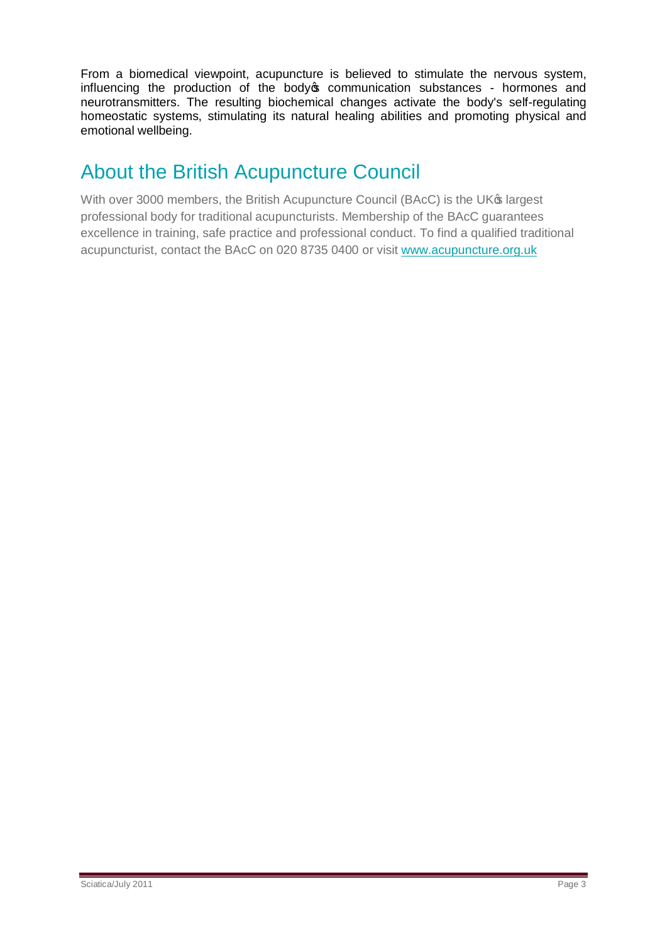From a biomedical viewpoint, acupuncture is believed to stimulate the nervous system, influencing the production of the body ocommunication substances - hormones and neurotransmitters. The resulting biochemical changes activate the body's self-regulating homeostatic systems, stimulating its natural healing abilities and promoting physical and emotional wellbeing.

## About the British Acupuncture Council

With over 3000 members, the British Acupuncture Council (BAcC) is the UK® largest professional body for traditional acupuncturists. Membership of the BAcC guarantees excellence in training, safe practice and professional conduct. To find a qualified traditional acupuncturist, contact the BAcC on 020 8735 0400 or visit [www.acupuncture.org.uk](http://www.acupuncture.org.uk/)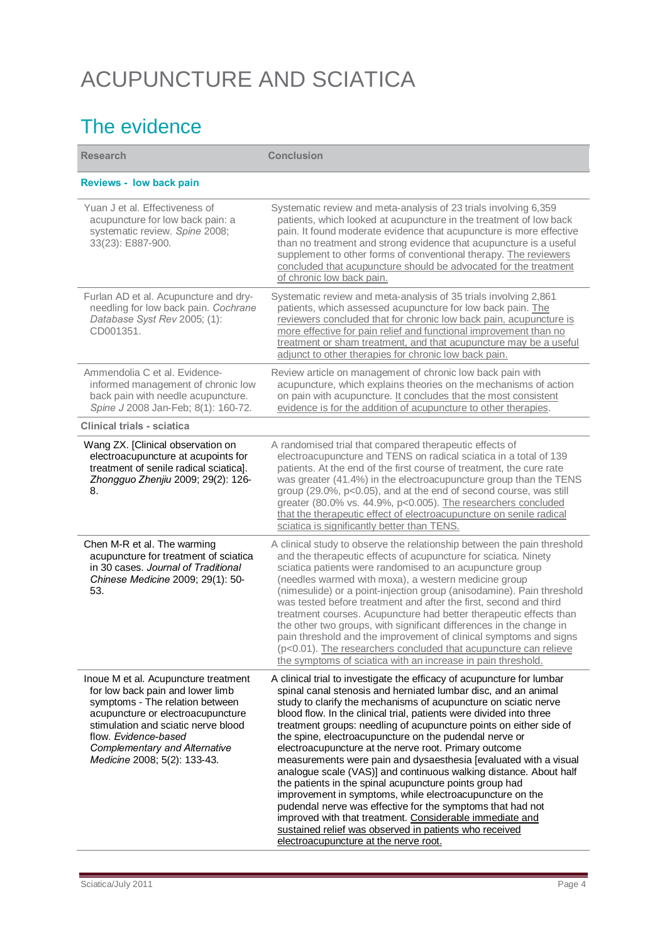# ACUPUNCTURE AND SCIATICA

## The evidence

| <b>Research</b>                                                                                                                                                                                                                                                                         | <b>Conclusion</b>                                                                                                                                                                                                                                                                                                                                                                                                                                                                                                                                                                                                                                                                                                                                                                                                                                                                                                                                                        |
|-----------------------------------------------------------------------------------------------------------------------------------------------------------------------------------------------------------------------------------------------------------------------------------------|--------------------------------------------------------------------------------------------------------------------------------------------------------------------------------------------------------------------------------------------------------------------------------------------------------------------------------------------------------------------------------------------------------------------------------------------------------------------------------------------------------------------------------------------------------------------------------------------------------------------------------------------------------------------------------------------------------------------------------------------------------------------------------------------------------------------------------------------------------------------------------------------------------------------------------------------------------------------------|
| <b>Reviews - low back pain</b>                                                                                                                                                                                                                                                          |                                                                                                                                                                                                                                                                                                                                                                                                                                                                                                                                                                                                                                                                                                                                                                                                                                                                                                                                                                          |
| Yuan J et al. Effectiveness of<br>acupuncture for low back pain: a<br>systematic review. Spine 2008;<br>33(23): E887-900.                                                                                                                                                               | Systematic review and meta-analysis of 23 trials involving 6,359<br>patients, which looked at acupuncture in the treatment of low back<br>pain. It found moderate evidence that acupuncture is more effective<br>than no treatment and strong evidence that acupuncture is a useful<br>supplement to other forms of conventional therapy. The reviewers<br>concluded that acupuncture should be advocated for the treatment<br>of chronic low back pain.                                                                                                                                                                                                                                                                                                                                                                                                                                                                                                                 |
| Furlan AD et al. Acupuncture and dry-<br>needling for low back pain. Cochrane<br>Database Syst Rev 2005; (1):<br>CD001351.                                                                                                                                                              | Systematic review and meta-analysis of 35 trials involving 2,861<br>patients, which assessed acupuncture for low back pain. The<br>reviewers concluded that for chronic low back pain, acupuncture is<br>more effective for pain relief and functional improvement than no<br>treatment or sham treatment, and that acupuncture may be a useful<br>adjunct to other therapies for chronic low back pain.                                                                                                                                                                                                                                                                                                                                                                                                                                                                                                                                                                 |
| Ammendolia C et al. Evidence-<br>informed management of chronic low<br>back pain with needle acupuncture.<br>Spine J 2008 Jan-Feb; 8(1): 160-72.                                                                                                                                        | Review article on management of chronic low back pain with<br>acupuncture, which explains theories on the mechanisms of action<br>on pain with acupuncture. It concludes that the most consistent<br>evidence is for the addition of acupuncture to other therapies.                                                                                                                                                                                                                                                                                                                                                                                                                                                                                                                                                                                                                                                                                                     |
| Clinical trials - sciatica                                                                                                                                                                                                                                                              |                                                                                                                                                                                                                                                                                                                                                                                                                                                                                                                                                                                                                                                                                                                                                                                                                                                                                                                                                                          |
| Wang ZX. [Clinical observation on<br>electroacupuncture at acupoints for<br>treatment of senile radical sciatica].<br>Zhongguo Zhenjiu 2009; 29(2): 126-<br>8.                                                                                                                          | A randomised trial that compared therapeutic effects of<br>electroacupuncture and TENS on radical sciatica in a total of 139<br>patients. At the end of the first course of treatment, the cure rate<br>was greater (41.4%) in the electroacupuncture group than the TENS<br>group (29.0%, p<0.05), and at the end of second course, was still<br>greater (80.0% vs. 44.9%, p<0.005). The researchers concluded<br>that the therapeutic effect of electroacupuncture on senile radical<br>sciatica is significantly better than TENS.                                                                                                                                                                                                                                                                                                                                                                                                                                    |
| Chen M-R et al. The warming<br>acupuncture for treatment of sciatica<br>in 30 cases. Journal of Traditional<br>Chinese Medicine 2009; 29(1): 50-<br>53.                                                                                                                                 | A clinical study to observe the relationship between the pain threshold<br>and the therapeutic effects of acupuncture for sciatica. Ninety<br>sciatica patients were randomised to an acupuncture group<br>(needles warmed with moxa), a western medicine group<br>(nimesulide) or a point-injection group (anisodamine). Pain threshold<br>was tested before treatment and after the first, second and third<br>treatment courses. Acupuncture had better therapeutic effects than<br>the other two groups, with significant differences in the change in<br>pain threshold and the improvement of clinical symptoms and signs<br>(p<0.01). The researchers concluded that acupuncture can relieve<br>the symptoms of sciatica with an increase in pain threshold.                                                                                                                                                                                                      |
| Inoue M et al. Acupuncture treatment<br>for low back pain and lower limb<br>symptoms - The relation between<br>acupuncture or electroacupuncture<br>stimulation and sciatic nerve blood<br>flow. Evidence-based<br><b>Complementary and Alternative</b><br>Medicine 2008; 5(2): 133-43. | A clinical trial to investigate the efficacy of acupuncture for lumbar<br>spinal canal stenosis and herniated lumbar disc, and an animal<br>study to clarify the mechanisms of acupuncture on sciatic nerve<br>blood flow. In the clinical trial, patients were divided into three<br>treatment groups: needling of acupuncture points on either side of<br>the spine, electroacupuncture on the pudendal nerve or<br>electroacupuncture at the nerve root. Primary outcome<br>measurements were pain and dysaesthesia [evaluated with a visual<br>analogue scale (VAS)] and continuous walking distance. About half<br>the patients in the spinal acupuncture points group had<br>improvement in symptoms, while electroacupuncture on the<br>pudendal nerve was effective for the symptoms that had not<br>improved with that treatment. Considerable immediate and<br>sustained relief was observed in patients who received<br>electroacupuncture at the nerve root. |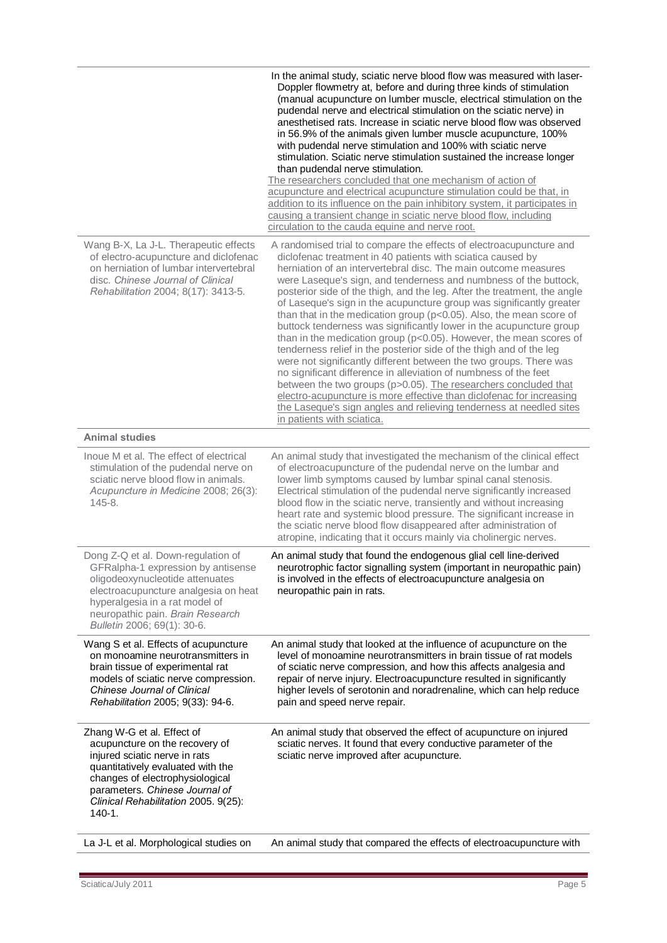|                                                                                                                                                                                                                                                               | In the animal study, sciatic nerve blood flow was measured with laser-<br>Doppler flowmetry at, before and during three kinds of stimulation<br>(manual acupuncture on lumber muscle, electrical stimulation on the<br>pudendal nerve and electrical stimulation on the sciatic nerve) in<br>anesthetised rats. Increase in sciatic nerve blood flow was observed<br>in 56.9% of the animals given lumber muscle acupuncture, 100%<br>with pudendal nerve stimulation and 100% with sciatic nerve<br>stimulation. Sciatic nerve stimulation sustained the increase longer<br>than pudendal nerve stimulation.<br>The researchers concluded that one mechanism of action of<br>acupuncture and electrical acupuncture stimulation could be that, in<br>addition to its influence on the pain inhibitory system, it participates in<br>causing a transient change in sciatic nerve blood flow, including<br>circulation to the cauda equine and nerve root.                                                                                                                                                              |
|---------------------------------------------------------------------------------------------------------------------------------------------------------------------------------------------------------------------------------------------------------------|------------------------------------------------------------------------------------------------------------------------------------------------------------------------------------------------------------------------------------------------------------------------------------------------------------------------------------------------------------------------------------------------------------------------------------------------------------------------------------------------------------------------------------------------------------------------------------------------------------------------------------------------------------------------------------------------------------------------------------------------------------------------------------------------------------------------------------------------------------------------------------------------------------------------------------------------------------------------------------------------------------------------------------------------------------------------------------------------------------------------|
| Wang B-X, La J-L. Therapeutic effects<br>of electro-acupuncture and diclofenac<br>on herniation of lumbar intervertebral<br>disc. Chinese Journal of Clinical<br>Rehabilitation 2004; 8(17): 3413-5.                                                          | A randomised trial to compare the effects of electroacupuncture and<br>diclofenac treatment in 40 patients with sciatica caused by<br>herniation of an intervertebral disc. The main outcome measures<br>were Laseque's sign, and tenderness and numbness of the buttock,<br>posterior side of the thigh, and the leg. After the treatment, the angle<br>of Laseque's sign in the acupuncture group was significantly greater<br>than that in the medication group ( $p<0.05$ ). Also, the mean score of<br>buttock tenderness was significantly lower in the acupuncture group<br>than in the medication group (p<0.05). However, the mean scores of<br>tenderness relief in the posterior side of the thigh and of the leg<br>were not significantly different between the two groups. There was<br>no significant difference in alleviation of numbness of the feet<br>between the two groups (p>0.05). The researchers concluded that<br>electro-acupuncture is more effective than diclofenac for increasing<br>the Laseque's sign angles and relieving tenderness at needled sites<br>in patients with sciatica. |
| <b>Animal studies</b>                                                                                                                                                                                                                                         |                                                                                                                                                                                                                                                                                                                                                                                                                                                                                                                                                                                                                                                                                                                                                                                                                                                                                                                                                                                                                                                                                                                        |
| Inoue M et al. The effect of electrical<br>stimulation of the pudendal nerve on<br>sciatic nerve blood flow in animals.<br>Acupuncture in Medicine 2008; 26(3):<br>$145 - 8.$                                                                                 | An animal study that investigated the mechanism of the clinical effect<br>of electroacupuncture of the pudendal nerve on the lumbar and<br>lower limb symptoms caused by lumbar spinal canal stenosis.<br>Electrical stimulation of the pudendal nerve significantly increased<br>blood flow in the sciatic nerve, transiently and without increasing<br>heart rate and systemic blood pressure. The significant increase in<br>the sciatic nerve blood flow disappeared after administration of<br>atropine, indicating that it occurs mainly via cholinergic nerves.                                                                                                                                                                                                                                                                                                                                                                                                                                                                                                                                                 |
| Dong Z-Q et al. Down-regulation of<br>GFRalpha-1 expression by antisense<br>oligodeoxynucleotide attenuates<br>electroacupuncture analgesia on heat<br>hyperalgesia in a rat model of<br>neuropathic pain. Brain Research<br>Bulletin 2006; 69(1): 30-6.      | An animal study that found the endogenous glial cell line-derived<br>neurotrophic factor signalling system (important in neuropathic pain)<br>is involved in the effects of electroacupuncture analgesia on<br>neuropathic pain in rats.                                                                                                                                                                                                                                                                                                                                                                                                                                                                                                                                                                                                                                                                                                                                                                                                                                                                               |
| Wang S et al. Effects of acupuncture<br>on monoamine neurotransmitters in<br>brain tissue of experimental rat<br>models of sciatic nerve compression.<br>Chinese Journal of Clinical<br>Rehabilitation 2005; 9(33): 94-6.                                     | An animal study that looked at the influence of acupuncture on the<br>level of monoamine neurotransmitters in brain tissue of rat models<br>of sciatic nerve compression, and how this affects analgesia and<br>repair of nerve injury. Electroacupuncture resulted in significantly<br>higher levels of serotonin and noradrenaline, which can help reduce<br>pain and speed nerve repair.                                                                                                                                                                                                                                                                                                                                                                                                                                                                                                                                                                                                                                                                                                                            |
| Zhang W-G et al. Effect of<br>acupuncture on the recovery of<br>injured sciatic nerve in rats<br>quantitatively evaluated with the<br>changes of electrophysiological<br>parameters. Chinese Journal of<br>Clinical Rehabilitation 2005. 9(25):<br>$140 - 1.$ | An animal study that observed the effect of acupuncture on injured<br>sciatic nerves. It found that every conductive parameter of the<br>sciatic nerve improved after acupuncture.                                                                                                                                                                                                                                                                                                                                                                                                                                                                                                                                                                                                                                                                                                                                                                                                                                                                                                                                     |
| La J-L et al. Morphological studies on                                                                                                                                                                                                                        | An animal study that compared the effects of electroacupuncture with                                                                                                                                                                                                                                                                                                                                                                                                                                                                                                                                                                                                                                                                                                                                                                                                                                                                                                                                                                                                                                                   |